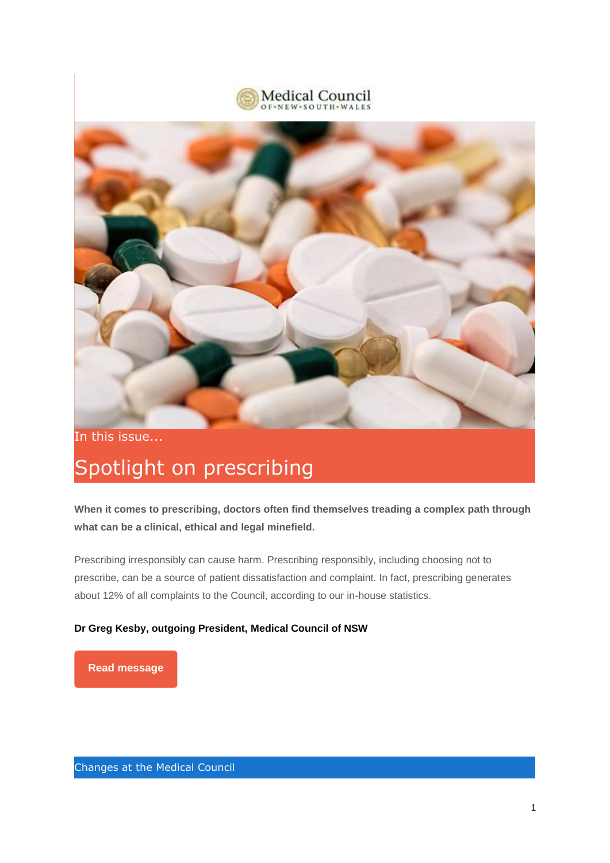



In this issue...

# Spotlight on prescribing

**When it comes to prescribing, doctors often find themselves treading a complex path through what can be a clinical, ethical and legal minefield.**

Prescribing irresponsibly can cause harm. Prescribing responsibly, including choosing not to prescribe, can be a source of patient dissatisfaction and complaint. In fact, prescribing generates about 12% of all complaints to the Council, according to our in-house statistics.

### **Dr Greg Kesby, outgoing President, Medical Council of NSW**

#### **[Read message](https://medicalcouncilofnsw.cmail20.com/t/j-l-ntidlkl-l-r/)**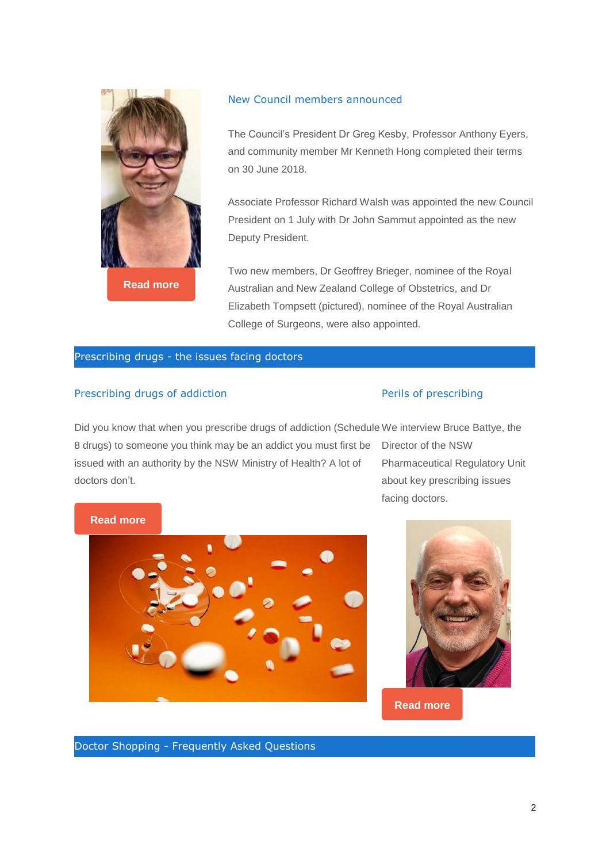

**[Read more](https://medicalcouncilofnsw.cmail20.com/t/j-l-ntidlkl-l-y/)**

#### New Council members announced

The Council's President Dr Greg Kesby, Professor Anthony Eyers, and community member Mr Kenneth Hong completed their terms on 30 June 2018.

Associate Professor Richard Walsh was appointed the new Council President on 1 July with Dr John Sammut appointed as the new Deputy President.

Two new members, Dr Geoffrey Brieger, nominee of the Royal Australian and New Zealand College of Obstetrics, and Dr Elizabeth Tompsett (pictured), nominee of the Royal Australian College of Surgeons, were also appointed.

#### Prescribing drugs - the issues facing doctors

#### Prescribing drugs of addiction

#### Perils of prescribing

Did you know that when you prescribe drugs of addiction (Schedule We interview Bruce Battye, the 8 drugs) to someone you think may be an addict you must first be issued with an authority by the NSW Ministry of Health? A lot of doctors don't.

Director of the NSW Pharmaceutical Regulatory Unit about key prescribing issues facing doctors.

#### **[Read more](https://medicalcouncilofnsw.cmail20.com/t/j-l-ntidlkl-l-j/)**





**[Read more](https://medicalcouncilofnsw.cmail20.com/t/j-l-ntidlkl-l-t/)**

Doctor Shopping - Frequently Asked Questions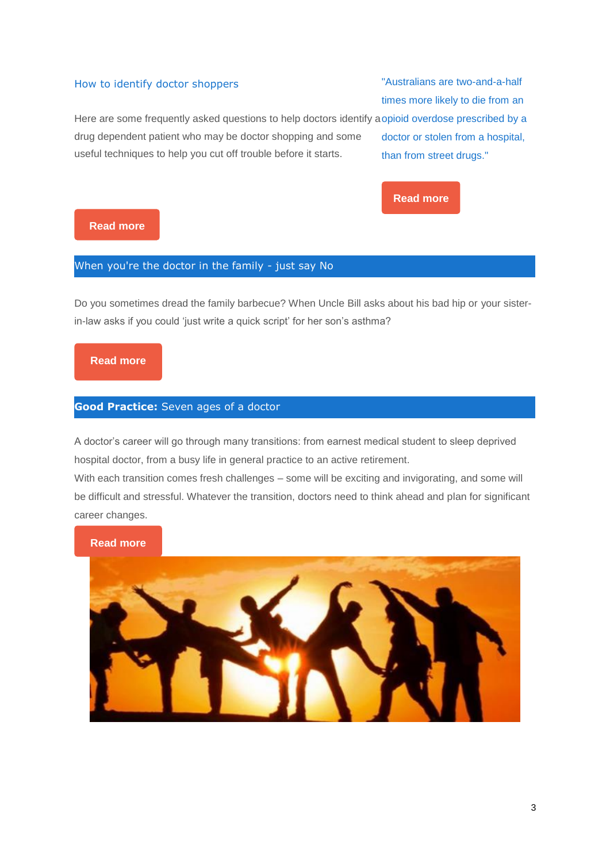#### How to identify doctor shoppers

"Australians are two-and-a-half times more likely to die from an

Here are some frequently asked questions to help doctors identify a opioid overdose prescribed by a drug dependent patient who may be doctor shopping and some useful techniques to help you cut off trouble before it starts. doctor or stolen from a hospital, than from street drugs."



### **[Read more](https://medicalcouncilofnsw.cmail20.com/t/j-l-ntidlkl-l-i/)**

### When you're the doctor in the family - just say No

Do you sometimes dread the family barbecue? When Uncle Bill asks about his bad hip or your sisterin-law asks if you could 'just write a quick script' for her son's asthma?

### **[Read more](https://medicalcouncilofnsw.cmail20.com/t/j-l-ntidlkl-l-h/)**

#### **Good Practice:** Seven ages of a doctor

A doctor's career will go through many transitions: from earnest medical student to sleep deprived hospital doctor, from a busy life in general practice to an active retirement.

With each transition comes fresh challenges – some will be exciting and invigorating, and some will be difficult and stressful. Whatever the transition, doctors need to think ahead and plan for significant career changes.

**[Read more](https://medicalcouncilofnsw.cmail20.com/t/j-l-ntidlkl-l-k/)**

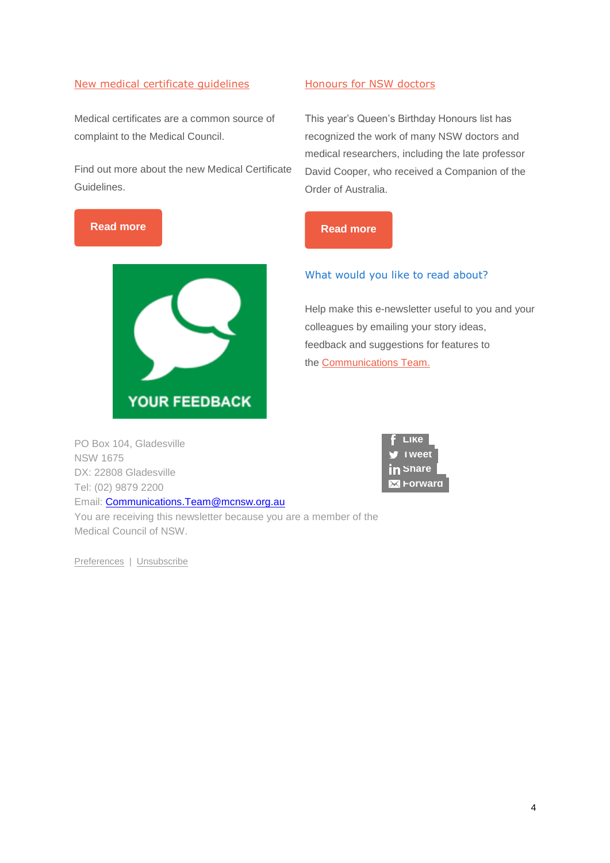### [New medical certificate](https://medicalcouncilofnsw.cmail20.com/t/j-l-ntidlkl-l-m/) guidelines

Medical certificates are a common source of complaint to the Medical Council.

Find out more about the new Medical Certificate Guidelines.





#### [Honours for NSW doctors](https://medicalcouncilofnsw.cmail20.com/t/j-l-ntidlkl-l-q/)

This year's Queen's Birthday Honours list has recognized the work of many NSW doctors and medical researchers, including the late professor David Cooper, who received a Companion of the Order of Australia.

### What would you like to read about?

Help make this e-newsletter useful to you and your colleagues by emailing your story ideas, feedback and suggestions for features to the [Communications Team.](mailto:Communications.Team@mcnsw.org.au)

PO Box 104, Gladesville NSW 1675 DX: 22808 Gladesville Tel: (02) 9879 2200 Email: [Communications.Team@mcnsw.org.au](mailto:Communications.Team@mcnsw.org.au) You are receiving this newsletter because you are a member of the Medical Council of NSW.

[Preferences](https://medicalcouncilofnsw.updatemyprofile.com/j-ntidlkl-2AD73FFF-l/Forward-g) | [Unsubscribe](https://medicalcouncilofnsw.cmail20.com/t/j-u-ntidlkl-l-w/)

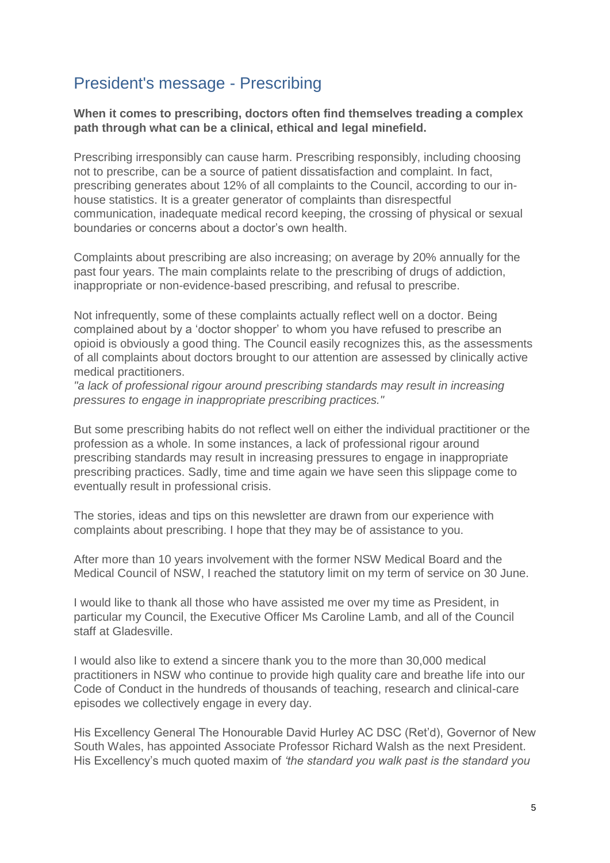### President's message - Prescribing

**When it comes to prescribing, doctors often find themselves treading a complex path through what can be a clinical, ethical and legal minefield.**

Prescribing irresponsibly can cause harm. Prescribing responsibly, including choosing not to prescribe, can be a source of patient dissatisfaction and complaint. In fact, prescribing generates about 12% of all complaints to the Council, according to our inhouse statistics. It is a greater generator of complaints than disrespectful communication, inadequate medical record keeping, the crossing of physical or sexual boundaries or concerns about a doctor's own health.

Complaints about prescribing are also increasing; on average by 20% annually for the past four years. The main complaints relate to the prescribing of drugs of addiction, inappropriate or non-evidence-based prescribing, and refusal to prescribe.

Not infrequently, some of these complaints actually reflect well on a doctor. Being complained about by a 'doctor shopper' to whom you have refused to prescribe an opioid is obviously a good thing. The Council easily recognizes this, as the assessments of all complaints about doctors brought to our attention are assessed by clinically active medical practitioners.

*"a lack of professional rigour around prescribing standards may result in increasing pressures to engage in inappropriate prescribing practices."*

But some prescribing habits do not reflect well on either the individual practitioner or the profession as a whole. In some instances, a lack of professional rigour around prescribing standards may result in increasing pressures to engage in inappropriate prescribing practices. Sadly, time and time again we have seen this slippage come to eventually result in professional crisis.

The stories, ideas and tips on this newsletter are drawn from our experience with complaints about prescribing. I hope that they may be of assistance to you.

After more than 10 years involvement with the former NSW Medical Board and the Medical Council of NSW, I reached the statutory limit on my term of service on 30 June.

I would like to thank all those who have assisted me over my time as President, in particular my Council, the Executive Officer Ms Caroline Lamb, and all of the Council staff at Gladesville.

I would also like to extend a sincere thank you to the more than 30,000 medical practitioners in NSW who continue to provide high quality care and breathe life into our Code of Conduct in the hundreds of thousands of teaching, research and clinical-care episodes we collectively engage in every day.

His Excellency General The Honourable David Hurley AC DSC (Ret'd), Governor of New South Wales, has appointed Associate Professor Richard Walsh as the next President. His Excellency's much quoted maxim of *'the standard you walk past is the standard you*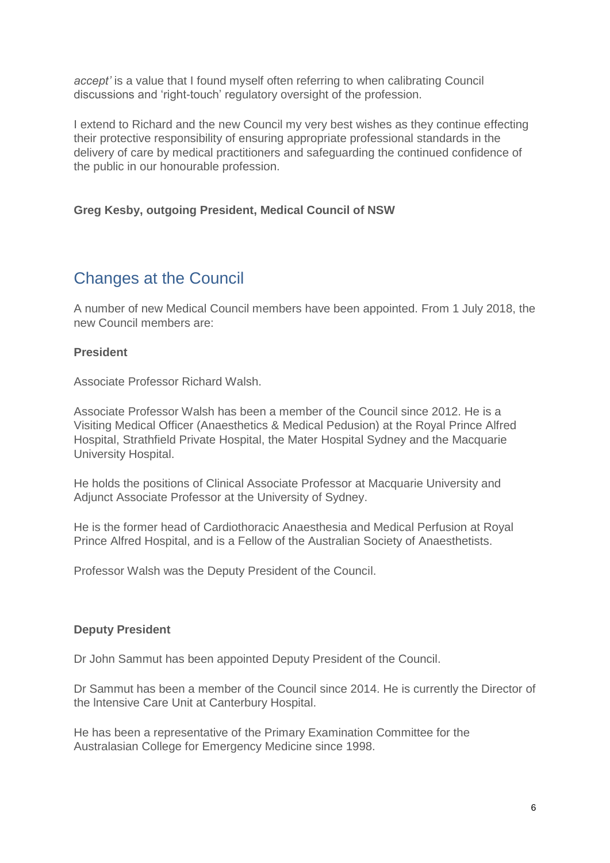*accept'* is a value that I found myself often referring to when calibrating Council discussions and 'right-touch' regulatory oversight of the profession.

I extend to Richard and the [new Council](https://www.mcnsw.org.au/node/617/) my very best wishes as they continue effecting their protective responsibility of ensuring appropriate professional standards in the delivery of care by medical practitioners and safeguarding the continued confidence of the public in our honourable profession.

### **Greg Kesby, outgoing President, Medical Council of NSW**

### Changes at the Council

A number of new Medical Council members have been appointed. From 1 July 2018, the new Council members are:

### **President**

Associate Professor Richard Walsh.

Associate Professor Walsh has been a member of the Council since 2012. He is a Visiting Medical Officer (Anaesthetics & Medical Pedusion) at the Royal Prince Alfred Hospital, Strathfield Private Hospital, the Mater Hospital Sydney and the Macquarie University Hospital.

He holds the positions of Clinical Associate Professor at Macquarie University and Adjunct Associate Professor at the University of Sydney.

He is the former head of Cardiothoracic Anaesthesia and Medical Perfusion at Royal Prince Alfred Hospital, and is a Fellow of the Australian Society of Anaesthetists.

Professor Walsh was the Deputy President of the Council.

### **Deputy President**

Dr John Sammut has been appointed Deputy President of the Council.

Dr Sammut has been a member of the Council since 2014. He is currently the Director of the lntensive Care Unit at Canterbury Hospital.

He has been a representative of the Primary Examination Committee for the Australasian College for Emergency Medicine since 1998.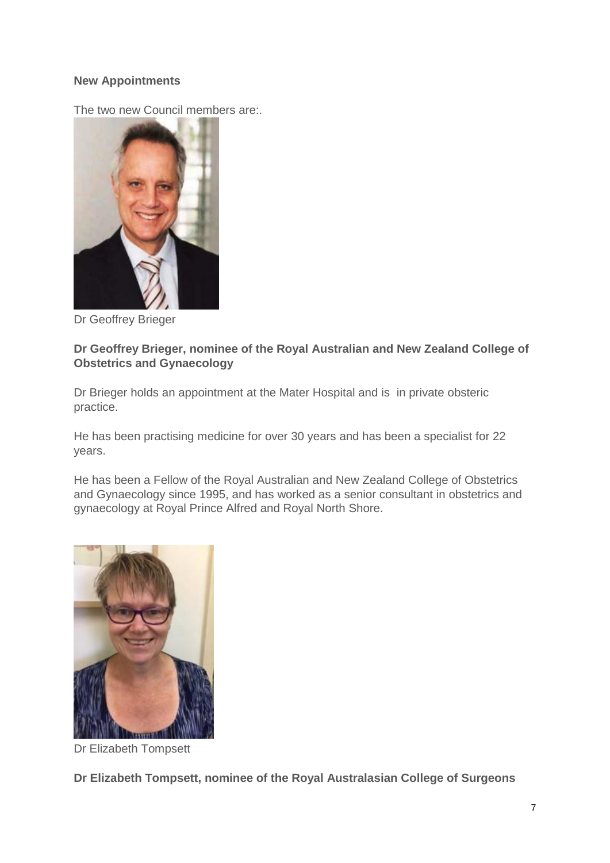### **New Appointments**

The two new Council members are:.



Dr Geoffrey Brieger

### **Dr Geoffrey Brieger, nominee of the Royal Australian and New Zealand College of Obstetrics and Gynaecology**

Dr Brieger holds an appointment at the Mater Hospital and is in private obsteric practice.

He has been practising medicine for over 30 years and has been a specialist for 22 years.

He has been a Fellow of the Royal Australian and New Zealand College of Obstetrics and Gynaecology since 1995, and has worked as a senior consultant in obstetrics and gynaecology at Royal Prince Alfred and Royal North Shore.



Dr Elizabeth Tompsett

**Dr Elizabeth Tompsett, nominee of the Royal Australasian College of Surgeons**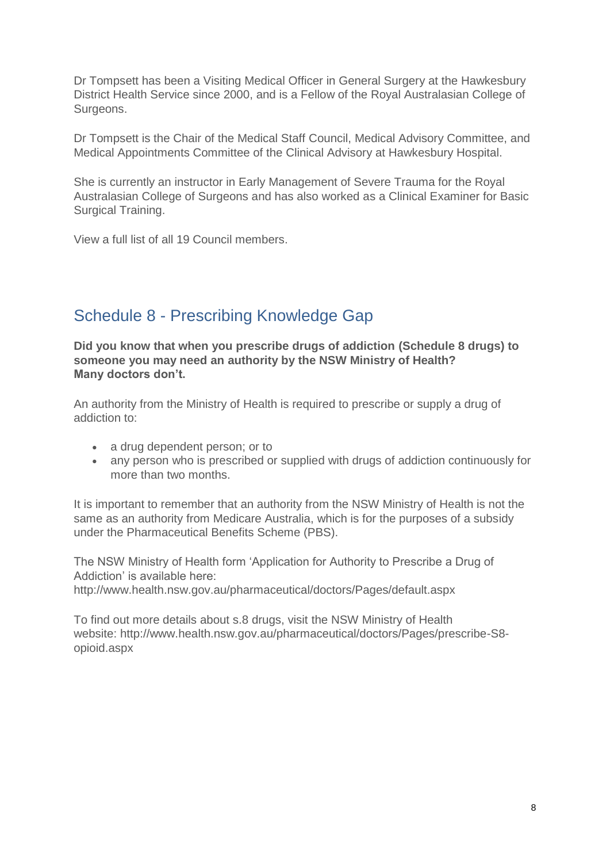Dr Tompsett has been a Visiting Medical Officer in General Surgery at the Hawkesbury District Health Service since 2000, and is a Fellow of the Royal Australasian College of Surgeons.

Dr Tompsett is the Chair of the Medical Staff Council, Medical Advisory Committee, and Medical Appointments Committee of the Clinical Advisory at Hawkesbury Hospital.

She is currently an instructor in Early Management of Severe Trauma for the Royal Australasian College of Surgeons and has also worked as a Clinical Examiner for Basic Surgical Training.

View a [full list of all 19 Council members.](https://www.mcnsw.org.au/node/617/)

### Schedule 8 - Prescribing Knowledge Gap

**Did you know that when you prescribe drugs of addiction (Schedule 8 drugs) to someone you may need an authority by the NSW Ministry of Health? Many doctors don't.**

An authority from the Ministry of Health is required to prescribe or supply a drug of addiction to:

- a drug dependent person; or to
- any person who is prescribed or supplied with drugs of addiction continuously for more than two months.

It is important to remember that an authority from the NSW Ministry of Health is not the same as an authority from Medicare Australia, which is for the purposes of a subsidy under the Pharmaceutical Benefits Scheme (PBS).

The NSW Ministry of Health form 'Application for Authority to Prescribe a Drug of Addiction' is available here: <http://www.health.nsw.gov.au/pharmaceutical/doctors/Pages/default.aspx>

To find out more details about s.8 drugs, visit the NSW Ministry of Health website: [http://www.health.nsw.gov.au/pharmaceutical/doctors/Pages/prescribe-S8](http://www.health.nsw.gov.au/pharmaceutical/doctors/Pages/prescribe-S8-opioid.aspx) [opioid.aspx](http://www.health.nsw.gov.au/pharmaceutical/doctors/Pages/prescribe-S8-opioid.aspx)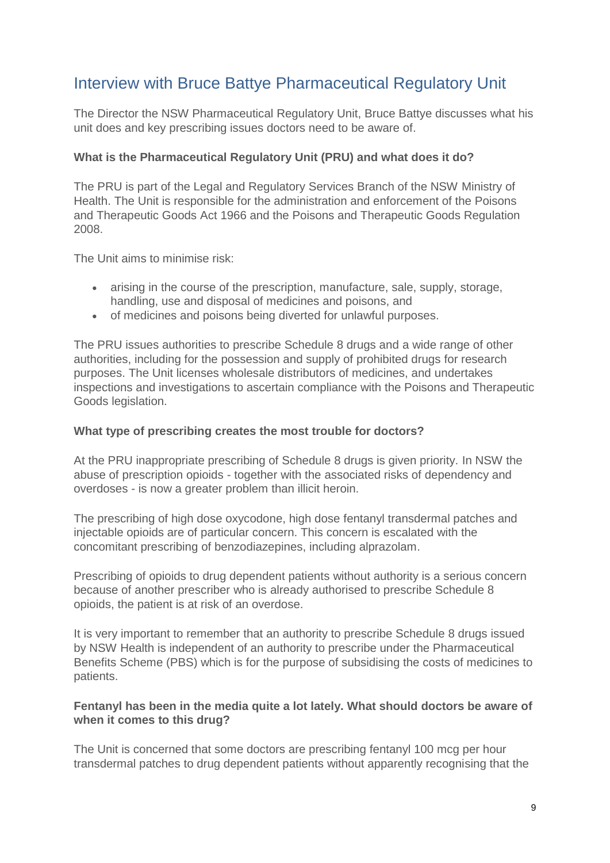### Interview with Bruce Battye Pharmaceutical Regulatory Unit

The Director the NSW Pharmaceutical Regulatory Unit, Bruce Battye discusses what his unit does and key prescribing issues doctors need to be aware of.

### **What is the Pharmaceutical Regulatory Unit (PRU) and what does it do?**

The PRU is part of the Legal and Regulatory Services Branch of the NSW Ministry of Health. The Unit is responsible for the administration and enforcement of the Poisons and Therapeutic Goods Act 1966 and the Poisons and Therapeutic Goods Regulation 2008.

The Unit aims to minimise risk:

- arising in the course of the prescription, manufacture, sale, supply, storage, handling, use and disposal of medicines and poisons, and
- of medicines and poisons being diverted for unlawful purposes.

The PRU issues authorities to prescribe Schedule 8 drugs and a wide range of other authorities, including for the possession and supply of prohibited drugs for research purposes. The Unit licenses wholesale distributors of medicines, and undertakes inspections and investigations to ascertain compliance with the Poisons and Therapeutic Goods legislation.

### **What type of prescribing creates the most trouble for doctors?**

At the PRU inappropriate prescribing of Schedule 8 drugs is given priority. In NSW the abuse of prescription opioids - together with the associated risks of dependency and overdoses - is now a greater problem than illicit heroin.

The prescribing of high dose oxycodone, high dose fentanyl transdermal patches and injectable opioids are of particular concern. This concern is escalated with the concomitant prescribing of benzodiazepines, including alprazolam.

Prescribing of opioids to drug dependent patients without authority is a serious concern because of another prescriber who is already authorised to prescribe Schedule 8 opioids, the patient is at risk of an overdose.

It is very important to remember that an authority to prescribe Schedule 8 drugs issued by NSW Health is independent of an authority to prescribe under the Pharmaceutical Benefits Scheme (PBS) which is for the purpose of subsidising the costs of medicines to patients.

### **Fentanyl has been in the media quite a lot lately. What should doctors be aware of when it comes to this drug?**

The Unit is concerned that some doctors are prescribing fentanyl 100 mcg per hour transdermal patches to drug dependent patients without apparently recognising that the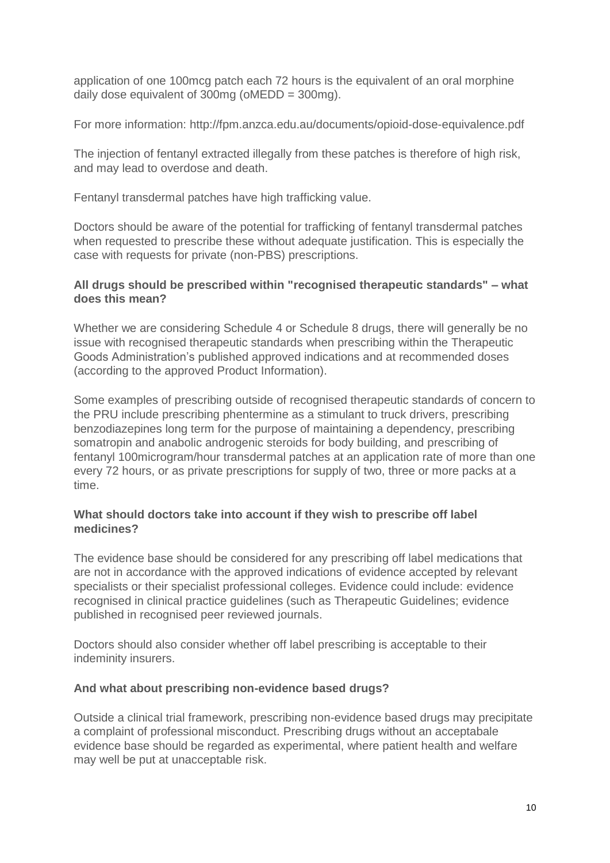application of one 100mcg patch each 72 hours is the equivalent of an oral morphine daily dose equivalent of 300mg (oMEDD = 300mg).

For more information: <http://fpm.anzca.edu.au/documents/opioid-dose-equivalence.pdf>

The injection of fentanyl extracted illegally from these patches is therefore of high risk, and may lead to overdose and death.

Fentanyl transdermal patches have high trafficking value.

Doctors should be aware of the potential for trafficking of fentanyl transdermal patches when requested to prescribe these without adequate justification. This is especially the case with requests for private (non-PBS) prescriptions.

### **All drugs should be prescribed within "recognised therapeutic standards" – what does this mean?**

Whether we are considering Schedule 4 or Schedule 8 drugs, there will generally be no issue with recognised therapeutic standards when prescribing within the Therapeutic Goods Administration's published approved indications and at recommended doses (according to the approved Product Information).

Some examples of prescribing outside of recognised therapeutic standards of concern to the PRU include prescribing phentermine as a stimulant to truck drivers, prescribing benzodiazepines long term for the purpose of maintaining a dependency, prescribing somatropin and anabolic androgenic steroids for body building, and prescribing of fentanyl 100microgram/hour transdermal patches at an application rate of more than one every 72 hours, or as private prescriptions for supply of two, three or more packs at a time.

### **What should doctors take into account if they wish to prescribe off label medicines?**

The evidence base should be considered for any prescribing off label medications that are not in accordance with the approved indications of evidence accepted by relevant specialists or their specialist professional colleges. Evidence could include: evidence recognised in clinical practice guidelines (such as Therapeutic Guidelines; evidence published in recognised peer reviewed journals.

Doctors should also consider whether off label prescribing is acceptable to their indeminity insurers.

### **And what about prescribing non-evidence based drugs?**

Outside a clinical trial framework, prescribing non-evidence based drugs may precipitate a complaint of professional misconduct. Prescribing drugs without an acceptabale evidence base should be regarded as experimental, where patient health and welfare may well be put at unacceptable risk.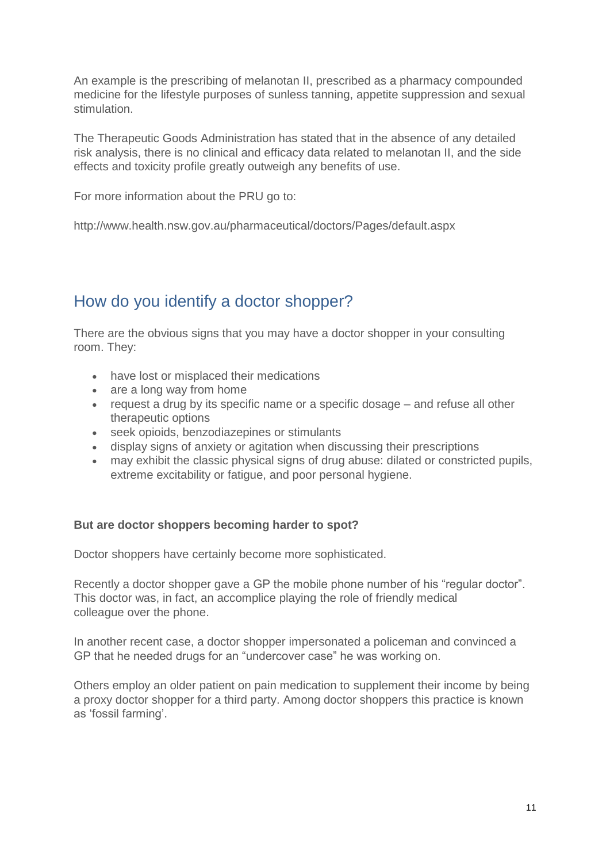An example is the prescribing of melanotan II, prescribed as a pharmacy compounded medicine for the lifestyle purposes of sunless tanning, appetite suppression and sexual stimulation.

The Therapeutic Goods Administration has stated that in the absence of any detailed risk analysis, there is no clinical and efficacy data related to melanotan II, and the side effects and toxicity profile greatly outweigh any benefits of use.

For more information about the PRU go to:

<http://www.health.nsw.gov.au/pharmaceutical/doctors/Pages/default.aspx>

## How do you identify a doctor shopper?

There are the obvious signs that you may have a doctor shopper in your consulting room. They:

- have lost or misplaced their medications
- are a long way from home
- request a drug by its specific name or a specific dosage and refuse all other therapeutic options
- seek opioids, benzodiazepines or stimulants
- display signs of anxiety or agitation when discussing their prescriptions
- may exhibit the classic physical signs of drug abuse: dilated or constricted pupils, extreme excitability or fatigue, and poor personal hygiene.

### **But are doctor shoppers becoming harder to spot?**

Doctor shoppers have certainly become more sophisticated.

Recently a doctor shopper gave a GP the mobile phone number of his "regular doctor". This doctor was, in fact, an accomplice playing the role of friendly medical colleague over the phone.

In another recent case, a doctor shopper impersonated a policeman and convinced a GP that he needed drugs for an "undercover case" he was working on.

Others employ an older patient on pain medication to supplement their income by being a proxy doctor shopper for a third party. Among doctor shoppers this practice is known as 'fossil farming'.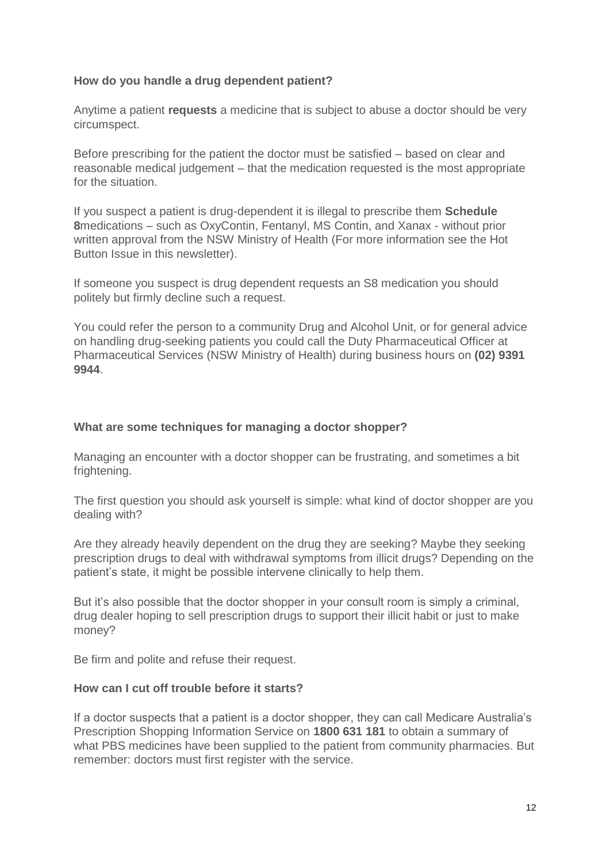### **How do you handle a drug dependent patient?**

Anytime a patient **requests** a medicine that is subject to abuse a doctor should be very circumspect.

Before prescribing for the patient the doctor must be satisfied – based on clear and reasonable medical judgement – that the medication requested is the most appropriate for the situation.

If you suspect a patient is drug-dependent it is illegal to prescribe them **Schedule 8**medications – such as OxyContin, Fentanyl, MS Contin, and Xanax - without prior written approval from the NSW Ministry of Health (For more information see the Hot Button Issue in this newsletter).

If someone you suspect is drug dependent requests an S8 medication you should politely but firmly decline such a request.

You could refer the person to a community Drug and Alcohol Unit, or for general advice on handling drug-seeking patients you could call the Duty Pharmaceutical Officer at Pharmaceutical Services (NSW Ministry of Health) during business hours on **(02) 9391 9944**.

### **What are some techniques for managing a doctor shopper?**

Managing an encounter with a doctor shopper can be frustrating, and sometimes a bit frightening.

The first question you should ask yourself is simple: what kind of doctor shopper are you dealing with?

Are they already heavily dependent on the drug they are seeking? Maybe they seeking prescription drugs to deal with withdrawal symptoms from illicit drugs? Depending on the patient's state, it might be possible intervene clinically to help them.

But it's also possible that the doctor shopper in your consult room is simply a criminal, drug dealer hoping to sell prescription drugs to support their illicit habit or just to make money?

Be firm and polite and refuse their request.

### **How can I cut off trouble before it starts?**

If a doctor suspects that a patient is a doctor shopper, they can call Medicare Australia's Prescription Shopping Information Service on **1800 631 181** to obtain a summary of what PBS medicines have been supplied to the patient from community pharmacies. But remember: doctors must first register with the service.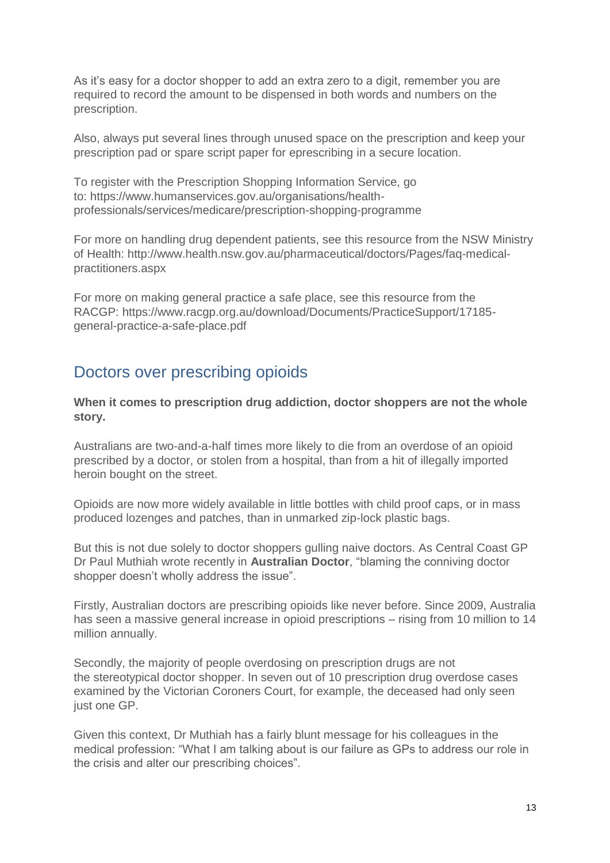As it's easy for a doctor shopper to add an extra zero to a digit, remember you are required to record the amount to be dispensed in both words and numbers on the prescription.

Also, always put several lines through unused space on the prescription and keep your prescription pad or spare script paper for eprescribing in a secure location.

To register with the Prescription Shopping Information Service, go to: [https://www.humanservices.gov.au/organisations/health](https://www.humanservices.gov.au/organisations/health-professionals/services/medicare/prescription-shopping-programme)[professionals/services/medicare/prescription-shopping-programme](https://www.humanservices.gov.au/organisations/health-professionals/services/medicare/prescription-shopping-programme)

For more on handling drug dependent patients, see this resource from the NSW Ministry of Health: [http://www.health.nsw.gov.au/pharmaceutical/doctors/Pages/faq-medical](http://www.health.nsw.gov.au/pharmaceutical/doctors/Pages/faq-medical-practitioners.aspx)[practitioners.aspx](http://www.health.nsw.gov.au/pharmaceutical/doctors/Pages/faq-medical-practitioners.aspx)

For more on making general practice a safe place, see this resource from the RACGP: [https://www.racgp.org.au/download/Documents/PracticeSupport/17185](https://www.racgp.org.au/download/Documents/PracticeSupport/17185-general-practice-a-safe-place.pdf) [general-practice-a-safe-place.pdf](https://www.racgp.org.au/download/Documents/PracticeSupport/17185-general-practice-a-safe-place.pdf)

### Doctors over prescribing opioids

**When it comes to prescription drug addiction, doctor shoppers are not the whole story.**

Australians are two-and-a-half times more likely to die from an overdose of an opioid prescribed by a doctor, or stolen from a hospital, than from a hit of illegally imported heroin bought on the street.

Opioids are now more widely available in little bottles with child proof caps, or in mass produced lozenges and patches, than in unmarked zip-lock plastic bags.

But this is not due solely to doctor shoppers gulling naive doctors. As Central Coast GP Dr Paul Muthiah wrote recently in **Australian Doctor**, "blaming the conniving doctor shopper doesn't wholly address the issue".

Firstly, Australian doctors are prescribing opioids like never before. Since 2009, Australia has seen a massive general increase in opioid prescriptions – rising from 10 million to 14 million annually.

Secondly, the majority of people overdosing on prescription drugs are not the stereotypical doctor shopper. In seven out of 10 prescription drug overdose cases examined by the Victorian Coroners Court, for example, the deceased had only seen just one GP.

Given this context, Dr Muthiah has a fairly blunt message for his colleagues in the medical profession: "What I am talking about is our failure as GPs to address our role in the crisis and alter our prescribing choices".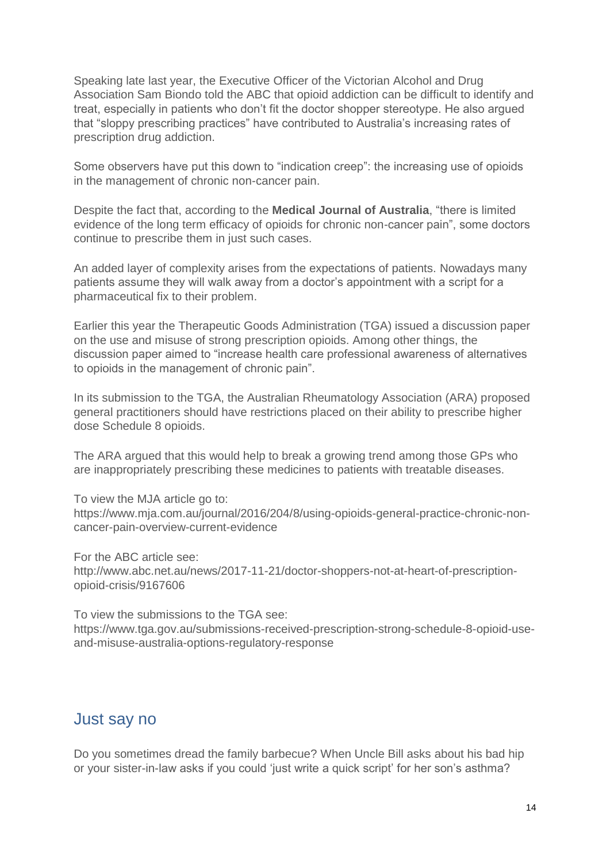Speaking late last year, the Executive Officer of the Victorian Alcohol and Drug Association Sam Biondo told the ABC that opioid addiction can be difficult to identify and treat, especially in patients who don't fit the doctor shopper stereotype. He also argued that "sloppy prescribing practices" have contributed to Australia's increasing rates of prescription drug addiction.

Some observers have put this down to "indication creep": the increasing use of opioids in the management of chronic non-cancer pain.

Despite the fact that, according to the **Medical Journal of Australia**, "there is limited evidence of the long term efficacy of opioids for chronic non-cancer pain", some doctors continue to prescribe them in just such cases.

An added layer of complexity arises from the expectations of patients. Nowadays many patients assume they will walk away from a doctor's appointment with a script for a pharmaceutical fix to their problem.

Earlier this year the Therapeutic Goods Administration (TGA) issued a discussion paper on the use and misuse of strong prescription opioids. Among other things, the discussion paper aimed to "increase health care professional awareness of alternatives to opioids in the management of chronic pain".

In its submission to the TGA, the Australian Rheumatology Association (ARA) proposed general practitioners should have restrictions placed on their ability to prescribe higher dose Schedule 8 opioids.

The ARA argued that this would help to break a growing trend among those GPs who are inappropriately prescribing these medicines to patients with treatable diseases.

To view the MJA article go to: [https://www.mja.com.au/journal/2016/204/8/using-opioids-general-practice-chronic-non](https://www.mja.com.au/journal/2016/204/8/using-opioids-general-practice-chronic-non-cancer-pain-overview-current-evidence)[cancer-pain-overview-current-evidence](https://www.mja.com.au/journal/2016/204/8/using-opioids-general-practice-chronic-non-cancer-pain-overview-current-evidence)

For the ABC article see: [http://www.abc.net.au/news/2017-11-21/doctor-shoppers-not-at-heart-of-prescription](http://www.abc.net.au/news/2017-11-21/doctor-shoppers-not-at-heart-of-prescription-opioid-crisis/9167606)[opioid-crisis/9167606](http://www.abc.net.au/news/2017-11-21/doctor-shoppers-not-at-heart-of-prescription-opioid-crisis/9167606)

To view the submissions to the TGA see: [https://www.tga.gov.au/submissions-received-prescription-strong-schedule-8-opioid-use](https://www.tga.gov.au/submissions-received-prescription-strong-schedule-8-opioid-use-and-misuse-australia-options-regulatory-response)[and-misuse-australia-options-regulatory-response](https://www.tga.gov.au/submissions-received-prescription-strong-schedule-8-opioid-use-and-misuse-australia-options-regulatory-response)

### Just say no

Do you sometimes dread the family barbecue? When Uncle Bill asks about his bad hip or your sister-in-law asks if you could 'just write a quick script' for her son's asthma?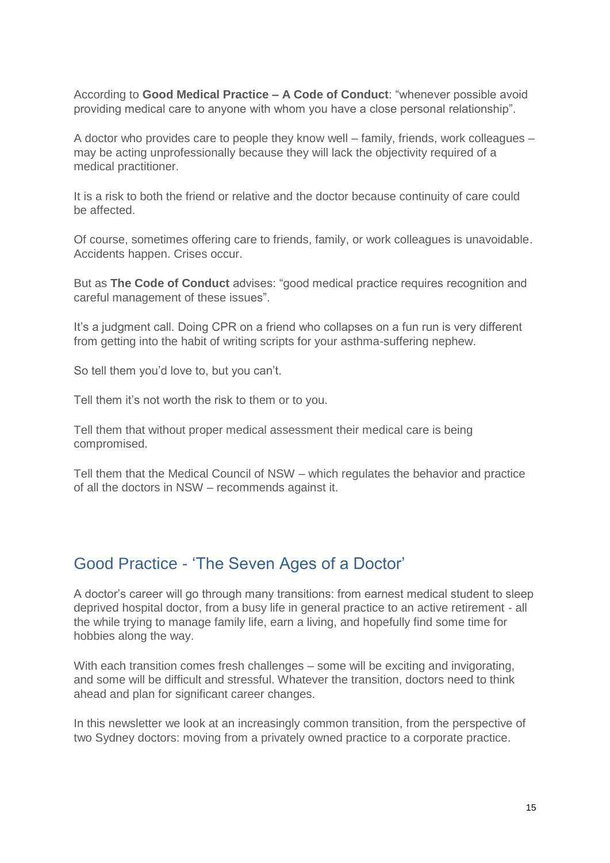According to **[Good Medical Practice –](http://www.medicalboard.gov.au/Codes-Guidelines-Policies/Code-of-conduct.aspx) A Code of Conduct**: "whenever possible avoid providing medical care to anyone with whom you have a close personal relationship".

A doctor who provides care to people they know well – family, friends, work colleagues – may be acting unprofessionally because they will lack the objectivity required of a medical practitioner.

It is a risk to both the friend or relative and the doctor because continuity of care could be affected.

Of course, sometimes offering care to friends, family, or work colleagues is unavoidable. Accidents happen. Crises occur.

But as **[The Code of Conduct](http://www.medicalboard.gov.au/Codes-Guidelines-Policies/Code-of-conduct.aspx)** advises: "good medical practice requires recognition and careful management of these issues".

It's a judgment call. Doing CPR on a friend who collapses on a fun run is very different from getting into the habit of writing scripts for your asthma-suffering nephew.

So tell them you'd love to, but you can't.

Tell them it's not worth the risk to them or to you.

Tell them that without proper medical assessment their medical care is being compromised.

Tell them that the Medical Council of NSW – which regulates the behavior and practice of all the doctors in NSW – recommends against it.

### Good Practice - 'The Seven Ages of a Doctor'

A doctor's career will go through many transitions: from earnest medical student to sleep deprived hospital doctor, from a busy life in general practice to an active retirement - all the while trying to manage family life, earn a living, and hopefully find some time for hobbies along the way.

With each transition comes fresh challenges – some will be exciting and invigorating, and some will be difficult and stressful. Whatever the transition, doctors need to think ahead and plan for significant career changes.

In this newsletter we look at an increasingly common transition, from the perspective of two Sydney doctors: moving from a privately owned practice to a corporate practice.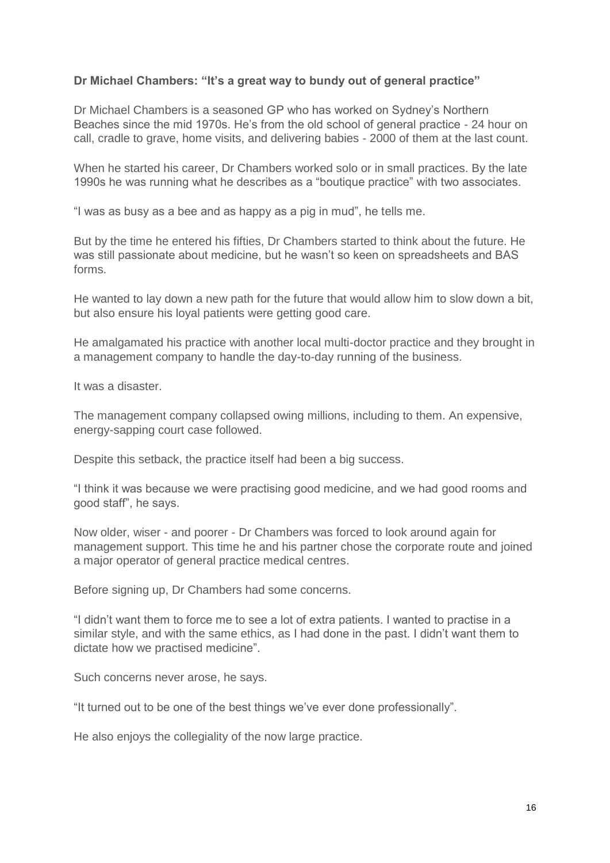### **Dr Michael Chambers: "It's a great way to bundy out of general practice"**

Dr Michael Chambers is a seasoned GP who has worked on Sydney's Northern Beaches since the mid 1970s. He's from the old school of general practice - 24 hour on call, cradle to grave, home visits, and delivering babies - 2000 of them at the last count.

When he started his career, Dr Chambers worked solo or in small practices. By the late 1990s he was running what he describes as a "boutique practice" with two associates.

"I was as busy as a bee and as happy as a pig in mud", he tells me.

But by the time he entered his fifties, Dr Chambers started to think about the future. He was still passionate about medicine, but he wasn't so keen on spreadsheets and BAS forms.

He wanted to lay down a new path for the future that would allow him to slow down a bit, but also ensure his loyal patients were getting good care.

He amalgamated his practice with another local multi-doctor practice and they brought in a management company to handle the day-to-day running of the business.

It was a disaster.

The management company collapsed owing millions, including to them. An expensive, energy-sapping court case followed.

Despite this setback, the practice itself had been a big success.

"I think it was because we were practising good medicine, and we had good rooms and good staff", he says.

Now older, wiser - and poorer - Dr Chambers was forced to look around again for management support. This time he and his partner chose the corporate route and joined a major operator of general practice medical centres.

Before signing up, Dr Chambers had some concerns.

"I didn't want them to force me to see a lot of extra patients. I wanted to practise in a similar style, and with the same ethics, as I had done in the past. I didn't want them to dictate how we practised medicine".

Such concerns never arose, he says.

"It turned out to be one of the best things we've ever done professionally".

He also enjoys the collegiality of the now large practice.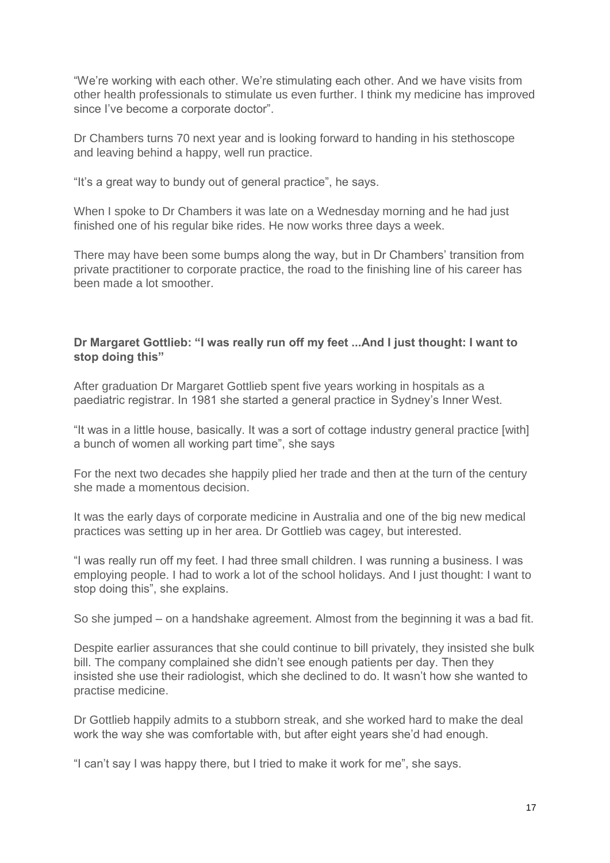"We're working with each other. We're stimulating each other. And we have visits from other health professionals to stimulate us even further. I think my medicine has improved since I've become a corporate doctor".

Dr Chambers turns 70 next year and is looking forward to handing in his stethoscope and leaving behind a happy, well run practice.

"It's a great way to bundy out of general practice", he says.

When I spoke to Dr Chambers it was late on a Wednesday morning and he had just finished one of his regular bike rides. He now works three days a week.

There may have been some bumps along the way, but in Dr Chambers' transition from private practitioner to corporate practice, the road to the finishing line of his career has been made a lot smoother.

### **Dr Margaret Gottlieb: "I was really run off my feet ...And I just thought: I want to stop doing this"**

After graduation Dr Margaret Gottlieb spent five years working in hospitals as a paediatric registrar. In 1981 she started a general practice in Sydney's Inner West.

"It was in a little house, basically. It was a sort of cottage industry general practice [with] a bunch of women all working part time", she says

For the next two decades she happily plied her trade and then at the turn of the century she made a momentous decision.

It was the early days of corporate medicine in Australia and one of the big new medical practices was setting up in her area. Dr Gottlieb was cagey, but interested.

"I was really run off my feet. I had three small children. I was running a business. I was employing people. I had to work a lot of the school holidays. And I just thought: I want to stop doing this", she explains.

So she jumped – on a handshake agreement. Almost from the beginning it was a bad fit.

Despite earlier assurances that she could continue to bill privately, they insisted she bulk bill. The company complained she didn't see enough patients per day. Then they insisted she use their radiologist, which she declined to do. It wasn't how she wanted to practise medicine.

Dr Gottlieb happily admits to a stubborn streak, and she worked hard to make the deal work the way she was comfortable with, but after eight years she'd had enough.

"I can't say I was happy there, but I tried to make it work for me", she says.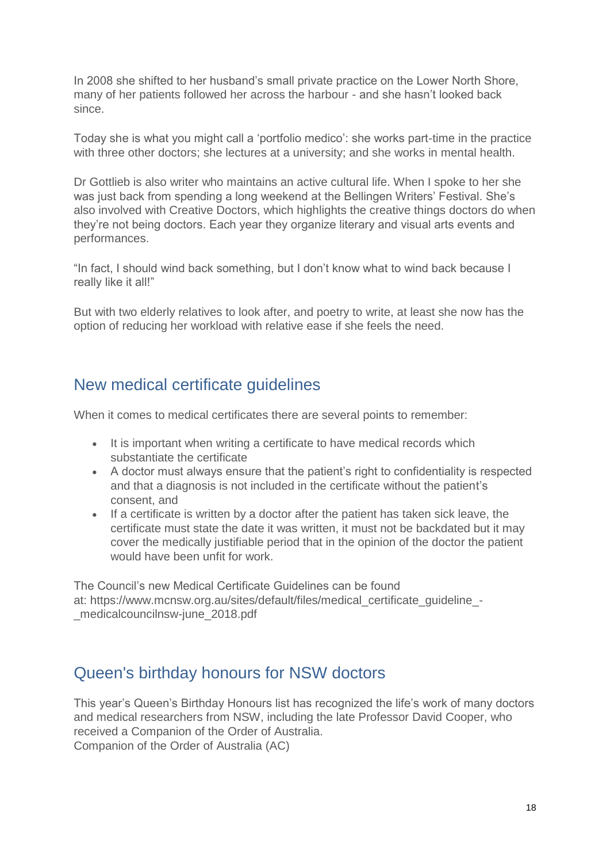In 2008 she shifted to her husband's small private practice on the Lower North Shore, many of her patients followed her across the harbour - and she hasn't looked back since.

Today she is what you might call a 'portfolio medico': she works part-time in the practice with three other doctors; she lectures at a university; and she works in mental health.

Dr Gottlieb is also writer who maintains an active cultural life. When I spoke to her she was just back from spending a long weekend at the Bellingen Writers' Festival. She's also involved with Creative Doctors, which highlights the creative things doctors do when they're not being doctors. Each year they organize literary and visual arts events and performances.

"In fact, I should wind back something, but I don't know what to wind back because I really like it all!"

But with two elderly relatives to look after, and poetry to write, at least she now has the option of reducing her workload with relative ease if she feels the need.

### New medical certificate guidelines

When it comes to medical certificates there are several points to remember:

- It is important when writing a certificate to have medical records which substantiate the certificate
- A doctor must always ensure that the patient's right to confidentiality is respected and that a diagnosis is not included in the certificate without the patient's consent, and
- If a certificate is written by a doctor after the patient has taken sick leave, the certificate must state the date it was written, it must not be backdated but it may cover the medically justifiable period that in the opinion of the doctor the patient would have been unfit for work.

The Council's new Medical Certificate Guidelines can be found at: https://www.mcnsw.org.au/sites/default/files/medical\_certificate\_guideline medicalcouncilnsw-june\_2018.pdf

### Queen's birthday honours for NSW doctors

This year's Queen's Birthday Honours list has recognized the life's work of many doctors and medical researchers from NSW, including the late Professor David Cooper, who received a Companion of the Order of Australia.

Companion of the Order of Australia (AC)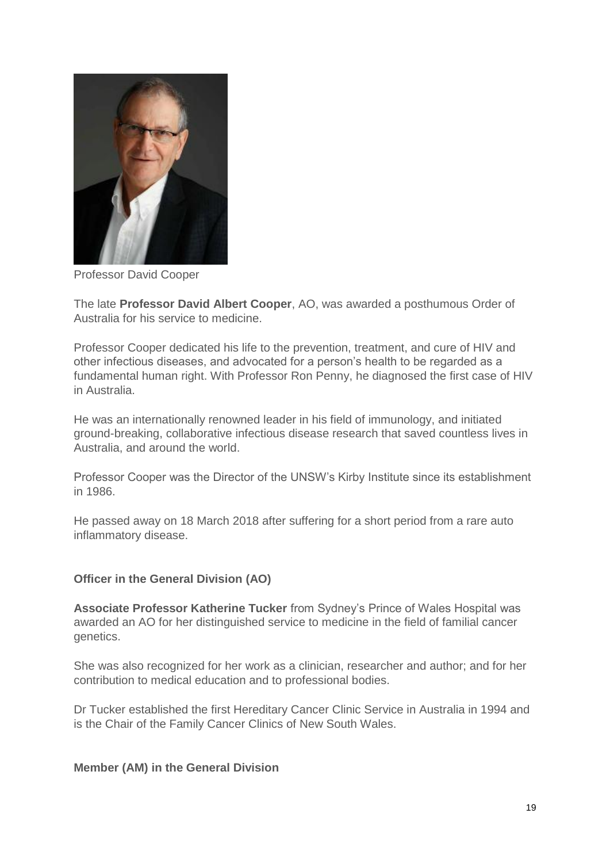

Professor David Cooper

The late **Professor David Albert Cooper**, AO, was awarded a posthumous Order of Australia for his service to medicine.

Professor Cooper dedicated his life to the prevention, treatment, and cure of HIV and other infectious diseases, and advocated for a person's health to be regarded as a fundamental human right. With Professor Ron Penny, he diagnosed the first case of HIV in Australia.

He was an internationally renowned leader in his field of immunology, and initiated ground-breaking, collaborative infectious disease research that saved countless lives in Australia, and around the world.

Professor Cooper was the Director of the UNSW's Kirby Institute since its establishment in 1986.

He passed away on 18 March 2018 after suffering for a short period from a rare auto inflammatory disease.

### **Officer in the General Division (AO)**

**Associate Professor Katherine Tucker** from Sydney's Prince of Wales Hospital was awarded an AO for her distinguished service to medicine in the field of familial cancer genetics.

She was also recognized for her work as a clinician, researcher and author; and for her contribution to medical education and to professional bodies.

Dr Tucker established the first Hereditary Cancer Clinic Service in Australia in 1994 and is the Chair of the Family Cancer Clinics of New South Wales.

### **Member (AM) in the General Division**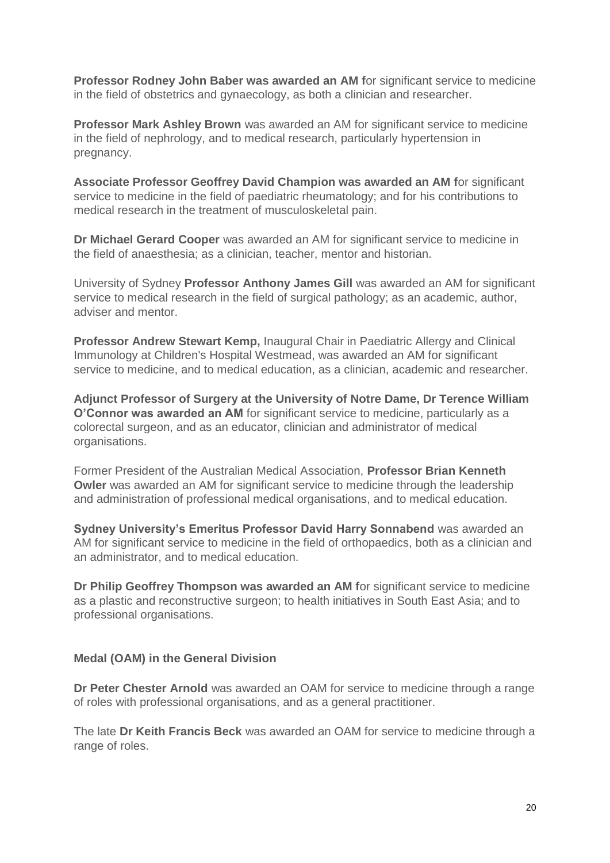**Professor Rodney John Baber was awarded an AM f**or significant service to medicine in the field of obstetrics and gynaecology, as both a clinician and researcher.

**Professor Mark Ashley Brown** was awarded an AM for significant service to medicine in the field of nephrology, and to medical research, particularly hypertension in pregnancy.

**Associate Professor Geoffrey David Champion was awarded an AM f**or significant service to medicine in the field of paediatric rheumatology; and for his contributions to medical research in the treatment of musculoskeletal pain.

**Dr Michael Gerard Cooper** was awarded an AM for significant service to medicine in the field of anaesthesia; as a clinician, teacher, mentor and historian.

University of Sydney **Professor Anthony James Gill** was awarded an AM for significant service to medical research in the field of surgical pathology; as an academic, author, adviser and mentor.

**Professor Andrew Stewart Kemp,** Inaugural Chair in Paediatric Allergy and Clinical Immunology at Children's Hospital Westmead, was awarded an AM for significant service to medicine, and to medical education, as a clinician, academic and researcher.

**Adjunct Professor of Surgery at the University of Notre Dame, Dr Terence William O'Connor was awarded an AM** for significant service to medicine, particularly as a colorectal surgeon, and as an educator, clinician and administrator of medical organisations.

Former President of the Australian Medical Association, **Professor Brian Kenneth Owler** was awarded an AM for significant service to medicine through the leadership and administration of professional medical organisations, and to medical education.

**Sydney University's Emeritus Professor David Harry Sonnabend** was awarded an AM for significant service to medicine in the field of orthopaedics, both as a clinician and an administrator, and to medical education.

**Dr Philip Geoffrey Thompson was awarded an AM f**or significant service to medicine as a plastic and reconstructive surgeon; to health initiatives in South East Asia; and to professional organisations.

### **Medal (OAM) in the General Division**

**Dr Peter Chester Arnold** was awarded an OAM for service to medicine through a range of roles with professional organisations, and as a general practitioner.

The late **Dr Keith Francis Beck** was awarded an OAM for service to medicine through a range of roles.